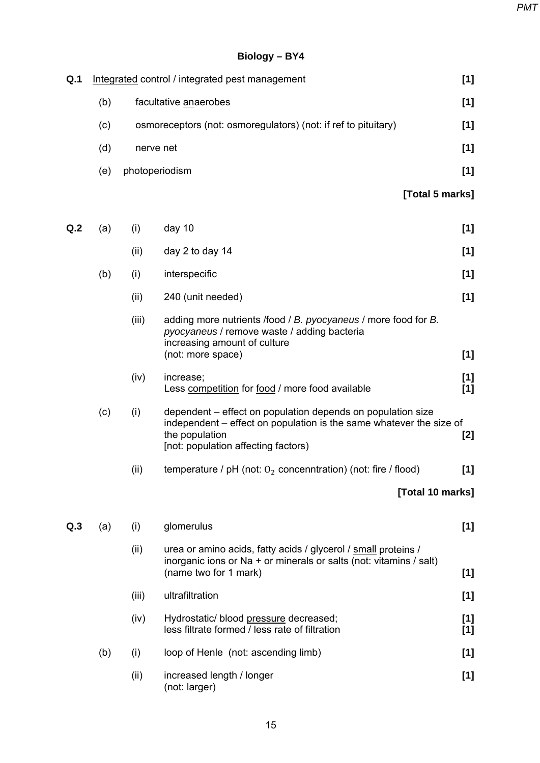*PMT*

## **Biology – BY4**

| Q.1 |     |                       | Integrated control / integrated pest management                                                                                                                                             | [1]            |  |
|-----|-----|-----------------------|---------------------------------------------------------------------------------------------------------------------------------------------------------------------------------------------|----------------|--|
|     | (b) | facultative anaerobes |                                                                                                                                                                                             |                |  |
|     | (c) |                       | osmoreceptors (not: osmoregulators) (not: if ref to pituitary)                                                                                                                              | [1]            |  |
|     | (d) | nerve net<br>[1]      |                                                                                                                                                                                             |                |  |
|     | (e) | photoperiodism        |                                                                                                                                                                                             | [1]            |  |
|     |     |                       | [Total 5 marks]                                                                                                                                                                             |                |  |
| Q.2 | (a) | (i)                   | day 10                                                                                                                                                                                      | [1]            |  |
|     |     | (ii)                  | day 2 to day 14                                                                                                                                                                             | [1]            |  |
|     | (b) | (i)                   | interspecific                                                                                                                                                                               | [1]            |  |
|     |     | (ii)                  | 240 (unit needed)                                                                                                                                                                           | [1]            |  |
|     |     | (iii)                 | adding more nutrients /food / B. pyocyaneus / more food for B.<br>pyocyaneus / remove waste / adding bacteria<br>increasing amount of culture<br>(not: more space)                          | [1]            |  |
|     |     |                       |                                                                                                                                                                                             |                |  |
|     |     | (iv)                  | increase;<br>Less competition for food / more food available                                                                                                                                | [1]<br>[1]     |  |
|     | (c) | (i)                   | dependent – effect on population depends on population size<br>independent – effect on population is the same whatever the size of<br>the population<br>[not: population affecting factors) | $[2]$          |  |
|     |     | (ii)                  | temperature / pH (not: $O_2$ concenntration) (not: fire / flood)                                                                                                                            | [1]            |  |
|     |     |                       | [Total 10 marks]                                                                                                                                                                            |                |  |
| Q.3 | (a) | (i)                   | glomerulus                                                                                                                                                                                  | [1]            |  |
|     |     | (ii)                  | urea or amino acids, fatty acids / glycerol / small proteins /<br>inorganic ions or Na + or minerals or salts (not: vitamins / salt)<br>(name two for 1 mark)                               | [1]            |  |
|     |     | (iii)                 | ultrafiltration                                                                                                                                                                             | [1]            |  |
|     |     | (iv)                  | Hydrostatic/ blood pressure decreased;<br>less filtrate formed / less rate of filtration                                                                                                    | $[1]$<br>$[1]$ |  |
|     | (b) | (i)                   | loop of Henle (not: ascending limb)                                                                                                                                                         | $[1]$          |  |
|     |     | (ii)                  | increased length / longer<br>(not: larger)                                                                                                                                                  | [1]            |  |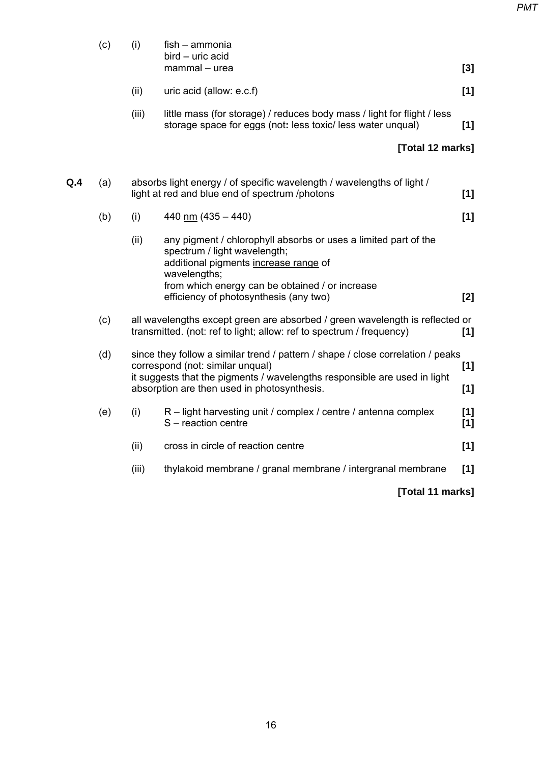|     | (c) | (i)                                                                                                                      | fish - ammonia<br>bird - uric acid                                                                                                                                                                          |            |
|-----|-----|--------------------------------------------------------------------------------------------------------------------------|-------------------------------------------------------------------------------------------------------------------------------------------------------------------------------------------------------------|------------|
|     |     |                                                                                                                          | mammal - urea                                                                                                                                                                                               | [3]        |
|     |     | (ii)                                                                                                                     | uric acid (allow: e.c.f)                                                                                                                                                                                    | [1]        |
|     |     | (iii)                                                                                                                    | little mass (for storage) / reduces body mass / light for flight / less<br>storage space for eggs (not: less toxic/ less water unqual)                                                                      | [1]        |
|     |     |                                                                                                                          | [Total 12 marks]                                                                                                                                                                                            |            |
| Q.4 | (a) |                                                                                                                          | absorbs light energy / of specific wavelength / wavelengths of light /<br>light at red and blue end of spectrum /photons                                                                                    | [1]        |
|     | (b) | (i)                                                                                                                      | 440 nm $(435 - 440)$                                                                                                                                                                                        | [1]        |
|     |     | (ii)                                                                                                                     | any pigment / chlorophyll absorbs or uses a limited part of the<br>spectrum / light wavelength;<br>additional pigments increase range of<br>wavelengths;<br>from which energy can be obtained / or increase |            |
|     |     |                                                                                                                          | efficiency of photosynthesis (any two)                                                                                                                                                                      | [2]        |
|     | (c) |                                                                                                                          | all wavelengths except green are absorbed / green wavelength is reflected or<br>transmitted. (not: ref to light; allow: ref to spectrum / frequency)                                                        | [1]        |
|     | (d) |                                                                                                                          | since they follow a similar trend / pattern / shape / close correlation / peaks<br>correspond (not: similar unqual)<br>[1]                                                                                  |            |
|     |     | it suggests that the pigments / wavelengths responsible are used in light<br>absorption are then used in photosynthesis. |                                                                                                                                                                                                             | [1]        |
|     | (e) | (i)                                                                                                                      | R – light harvesting unit / complex / centre / antenna complex<br>S - reaction centre                                                                                                                       | [1]<br>[1] |
|     |     | (ii)                                                                                                                     | cross in circle of reaction centre                                                                                                                                                                          | [1]        |
|     |     | (iii)                                                                                                                    | thylakoid membrane / granal membrane / intergranal membrane                                                                                                                                                 | [1]        |
|     |     |                                                                                                                          | [Total 11 marks]                                                                                                                                                                                            |            |
|     |     |                                                                                                                          |                                                                                                                                                                                                             |            |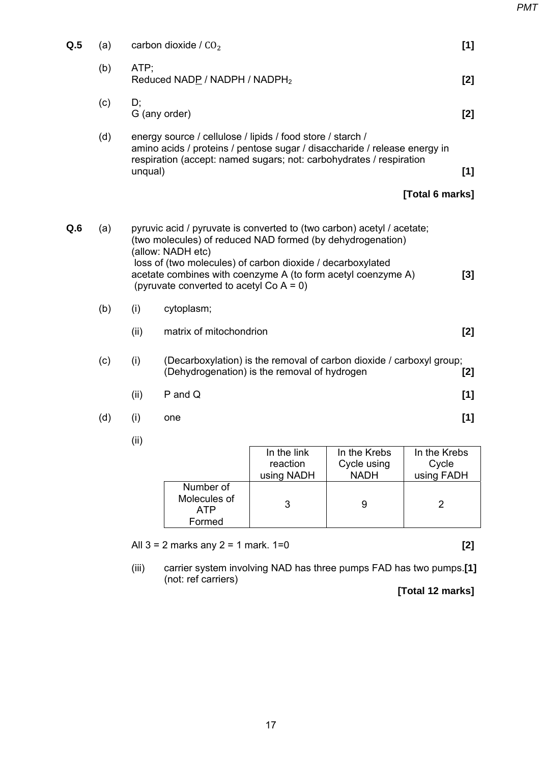| Q.5 | (a) |         | carbon dioxide / $CO2$                                                                                                                                                                                                                                                                                                                | [1]   |
|-----|-----|---------|---------------------------------------------------------------------------------------------------------------------------------------------------------------------------------------------------------------------------------------------------------------------------------------------------------------------------------------|-------|
|     | (b) | ATP;    | Reduced NADP / NADPH / NADPH <sub>2</sub>                                                                                                                                                                                                                                                                                             | [2]   |
|     | (c) | D;      | G (any order)                                                                                                                                                                                                                                                                                                                         | [2]   |
|     | (d) | unqual) | energy source / cellulose / lipids / food store / starch /<br>amino acids / proteins / pentose sugar / disaccharide / release energy in<br>respiration (accept: named sugars; not: carbohydrates / respiration                                                                                                                        | [1]   |
|     |     |         | [Total 6 marks]                                                                                                                                                                                                                                                                                                                       |       |
| Q.6 | (a) |         | pyruvic acid / pyruvate is converted to (two carbon) acetyl / acetate;<br>(two molecules) of reduced NAD formed (by dehydrogenation)<br>(allow: NADH etc)<br>loss of (two molecules) of carbon dioxide / decarboxylated<br>acetate combines with coenzyme A (to form acetyl coenzyme A)<br>(pyruvate converted to acetyl Co $A = 0$ ) | [3]   |
|     | (b) | (i)     | cytoplasm;                                                                                                                                                                                                                                                                                                                            |       |
|     |     | (ii)    | matrix of mitochondrion                                                                                                                                                                                                                                                                                                               | [2]   |
|     | (c) | (i)     | (Decarboxylation) is the removal of carbon dioxide / carboxyl group;<br>(Dehydrogenation) is the removal of hydrogen                                                                                                                                                                                                                  | $[2]$ |
|     |     | (ii)    | $P$ and $Q$                                                                                                                                                                                                                                                                                                                           | [1]   |
|     | (d) | (i)     | one                                                                                                                                                                                                                                                                                                                                   | [1]   |
|     |     | (ii)    |                                                                                                                                                                                                                                                                                                                                       |       |

|                                  | In the link | In the Krebs | In the Krebs |
|----------------------------------|-------------|--------------|--------------|
|                                  | reaction    | Cycle using  | Cycle        |
|                                  | using NADH  | <b>NADH</b>  | using FADH   |
| Number of<br>Molecules of<br>ATP |             |              |              |
| Formed                           |             |              |              |

All 3 = 2 marks any 2 = 1 mark. 1=0 **[2]** 

 (iii) carrier system involving NAD has three pumps FAD has two pumps.**[1]**  (not: ref carriers)

**[Total 12 marks]**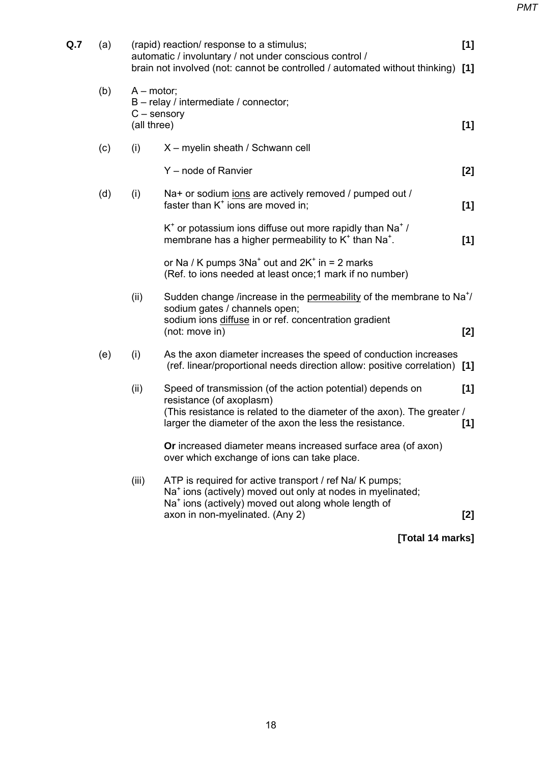| Q.7 | (a) |                                              | (rapid) reaction/ response to a stimulus;<br>automatic / involuntary / not under conscious control /<br>brain not involved (not: cannot be controlled / automated without thinking)                                                     | [1]<br>[1] |
|-----|-----|----------------------------------------------|-----------------------------------------------------------------------------------------------------------------------------------------------------------------------------------------------------------------------------------------|------------|
|     | (b) | $A$ – motor;<br>$C$ – sensory<br>(all three) | B - relay / intermediate / connector;                                                                                                                                                                                                   | [1]        |
|     | (c) | (i)                                          | X - myelin sheath / Schwann cell                                                                                                                                                                                                        |            |
|     |     |                                              | Y - node of Ranvier                                                                                                                                                                                                                     | [2]        |
|     | (d) | (i)                                          | Na+ or sodium jons are actively removed / pumped out /<br>faster than $K^+$ ions are moved in;                                                                                                                                          | [1]        |
|     |     |                                              | $K^*$ or potassium ions diffuse out more rapidly than Na <sup>+</sup> /<br>membrane has a higher permeability to K <sup>+</sup> than Na <sup>+</sup> .                                                                                  | [1]        |
|     |     |                                              | or Na / K pumps $3Na^{+}$ out and $2K^{+}$ in = 2 marks<br>(Ref. to ions needed at least once; 1 mark if no number)                                                                                                                     |            |
|     |     | (ii)                                         | Sudden change /increase in the permeability of the membrane to Na <sup>+</sup> /<br>sodium gates / channels open;<br>sodium ions diffuse in or ref. concentration gradient<br>(not: move in)                                            | [2]        |
|     | (e) | (i)                                          | As the axon diameter increases the speed of conduction increases<br>(ref. linear/proportional needs direction allow: positive correlation) [1]                                                                                          |            |
|     |     | (ii)                                         | Speed of transmission (of the action potential) depends on<br>resistance (of axoplasm)<br>(This resistance is related to the diameter of the axon). The greater /<br>larger the diameter of the axon the less the resistance.           | [1]<br>[1] |
|     |     |                                              | Or increased diameter means increased surface area (of axon)<br>over which exchange of ions can take place.                                                                                                                             |            |
|     |     | (iii)                                        | ATP is required for active transport / ref Na/ K pumps;<br>Na <sup>+</sup> ions (actively) moved out only at nodes in myelinated;<br>Na <sup>+</sup> ions (actively) moved out along whole length of<br>axon in non-myelinated. (Any 2) | [2]        |
|     |     |                                              |                                                                                                                                                                                                                                         |            |

**[Total 14 marks]**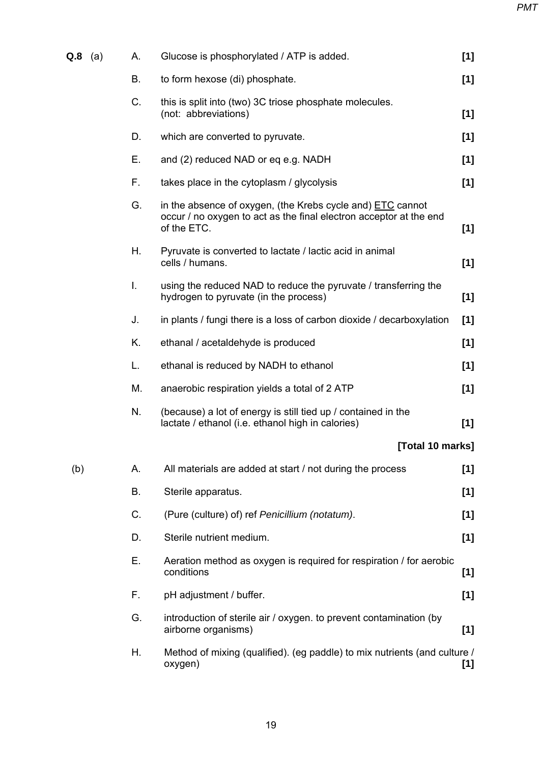| $Q.8$ (a) | А. | Glucose is phosphorylated / ATP is added.                                                                                                              | [1]   |
|-----------|----|--------------------------------------------------------------------------------------------------------------------------------------------------------|-------|
|           | В. | to form hexose (di) phosphate.                                                                                                                         | [1]   |
|           | C. | this is split into (two) 3C triose phosphate molecules.<br>(not: abbreviations)                                                                        | [1]   |
|           | D. | which are converted to pyruvate.                                                                                                                       | [1]   |
|           | Ε. | and (2) reduced NAD or eq e.g. NADH                                                                                                                    | $[1]$ |
|           | F. | takes place in the cytoplasm / glycolysis                                                                                                              | [1]   |
|           | G. | in the absence of oxygen, (the Krebs cycle and) <b>ETC</b> cannot<br>occur / no oxygen to act as the final electron acceptor at the end<br>of the ETC. | [1]   |
|           | Η. | Pyruvate is converted to lactate / lactic acid in animal<br>cells / humans.                                                                            | [1]   |
|           | I. | using the reduced NAD to reduce the pyruvate / transferring the<br>hydrogen to pyruvate (in the process)                                               | $[1]$ |
|           | J. | in plants / fungi there is a loss of carbon dioxide / decarboxylation                                                                                  | [1]   |
|           | K. | ethanal / acetaldehyde is produced                                                                                                                     | [1]   |
|           | L. | ethanal is reduced by NADH to ethanol                                                                                                                  | [1]   |
|           | М. | anaerobic respiration yields a total of 2 ATP                                                                                                          | [1]   |
|           | N. | (because) a lot of energy is still tied up / contained in the<br>lactate / ethanol (i.e. ethanol high in calories)                                     | [1]   |
|           |    | [Total 10 marks]                                                                                                                                       |       |
| (b)       | А. | All materials are added at start / not during the process                                                                                              | [1]   |
|           | В. | Sterile apparatus.                                                                                                                                     | [1]   |
|           | C. | (Pure (culture) of) ref Penicillium (notatum).                                                                                                         | [1]   |
|           | D. | Sterile nutrient medium.                                                                                                                               | [1]   |
|           | Е. | Aeration method as oxygen is required for respiration / for aerobic<br>conditions                                                                      | [1]   |
|           | F. | pH adjustment / buffer.                                                                                                                                | [1]   |
|           | G. | introduction of sterile air / oxygen. to prevent contamination (by<br>airborne organisms)                                                              | [1]   |
|           | Н. | Method of mixing (qualified). (eg paddle) to mix nutrients (and culture /<br>oxygen)                                                                   | [1]   |